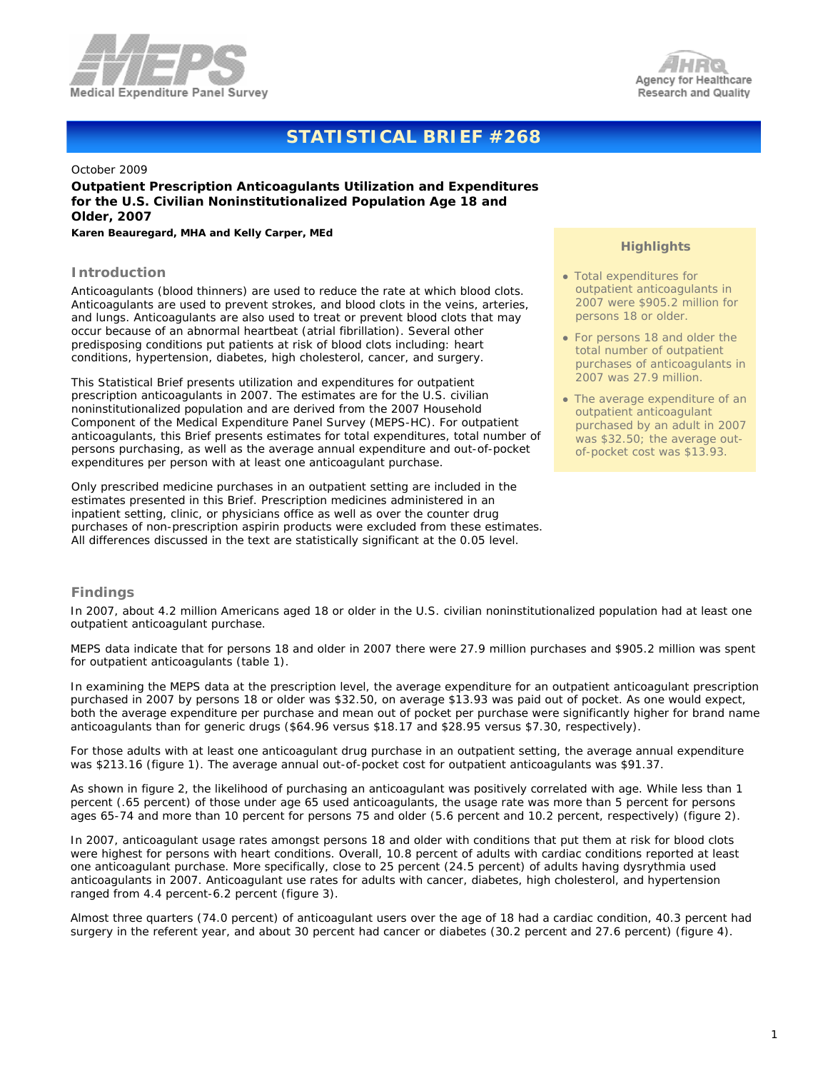



# **STATISTICAL BRIEF #268**

October 2009

## **Outpatient Prescription Anticoagulants Utilization and Expenditures for the U.S. Civilian Noninstitutionalized Population Age 18 and Older, 2007**

*Karen Beauregard, MHA and Kelly Carper, MEd*

#### **Introduction**

Anticoagulants (blood thinners) are used to reduce the rate at which blood clots. Anticoagulants are used to prevent strokes, and blood clots in the veins, arteries, and lungs. Anticoagulants are also used to treat or prevent blood clots that may occur because of an abnormal heartbeat (atrial fibrillation). Several other predisposing conditions put patients at risk of blood clots including: heart conditions, hypertension, diabetes, high cholesterol, cancer, and surgery.

This Statistical Brief presents utilization and expenditures for outpatient prescription anticoagulants in 2007. The estimates are for the U.S. civilian noninstitutionalized population and are derived from the 2007 Household Component of the Medical Expenditure Panel Survey (MEPS-HC). For outpatient anticoagulants, this Brief presents estimates for total expenditures, total number of persons purchasing, as well as the average annual expenditure and out-of-pocket expenditures per person with at least one anticoagulant purchase.

Only prescribed medicine purchases in an outpatient setting are included in the estimates presented in this Brief. Prescription medicines administered in an inpatient setting, clinic, or physicians office as well as over the counter drug purchases of non-prescription aspirin products were excluded from these estimates. All differences discussed in the text are statistically significant at the 0.05 level.

### **Highlights**

- Total expenditures for outpatient anticoagulants in 2007 were \$905.2 million for persons 18 or older.
- For persons 18 and older the total number of outpatient purchases of anticoagulants in 2007 was 27.9 million.
- The average expenditure of an outpatient anticoagulant purchased by an adult in 2007 was \$32.50; the average outof-pocket cost was \$13.93.

## **Findings**

In 2007, about 4.2 million Americans aged 18 or older in the U.S. civilian noninstitutionalized population had at least one outpatient anticoagulant purchase.

MEPS data indicate that for persons 18 and older in 2007 there were 27.9 million purchases and \$905.2 million was spent for outpatient anticoagulants (table 1).

In examining the MEPS data at the prescription level, the average expenditure for an outpatient anticoagulant prescription purchased in 2007 by persons 18 or older was \$32.50, on average \$13.93 was paid out of pocket. As one would expect, both the average expenditure per purchase and mean out of pocket per purchase were significantly higher for brand name anticoagulants than for generic drugs (\$64.96 versus \$18.17 and \$28.95 versus \$7.30, respectively).

For those adults with at least one anticoagulant drug purchase in an outpatient setting, the average annual expenditure was \$213.16 (figure 1). The average annual out-of-pocket cost for outpatient anticoagulants was \$91.37.

As shown in figure 2, the likelihood of purchasing an anticoagulant was positively correlated with age. While less than 1 percent (.65 percent) of those under age 65 used anticoagulants, the usage rate was more than 5 percent for persons ages 65-74 and more than 10 percent for persons 75 and older (5.6 percent and 10.2 percent, respectively) (figure 2).

In 2007, anticoagulant usage rates amongst persons 18 and older with conditions that put them at risk for blood clots were highest for persons with heart conditions. Overall, 10.8 percent of adults with cardiac conditions reported at least one anticoagulant purchase. More specifically, close to 25 percent (24.5 percent) of adults having dysrythmia used anticoagulants in 2007. Anticoagulant use rates for adults with cancer, diabetes, high cholesterol, and hypertension ranged from 4.4 percent-6.2 percent (figure 3).

Almost three quarters (74.0 percent) of anticoagulant users over the age of 18 had a cardiac condition, 40.3 percent had surgery in the referent year, and about 30 percent had cancer or diabetes (30.2 percent and 27.6 percent) (figure 4).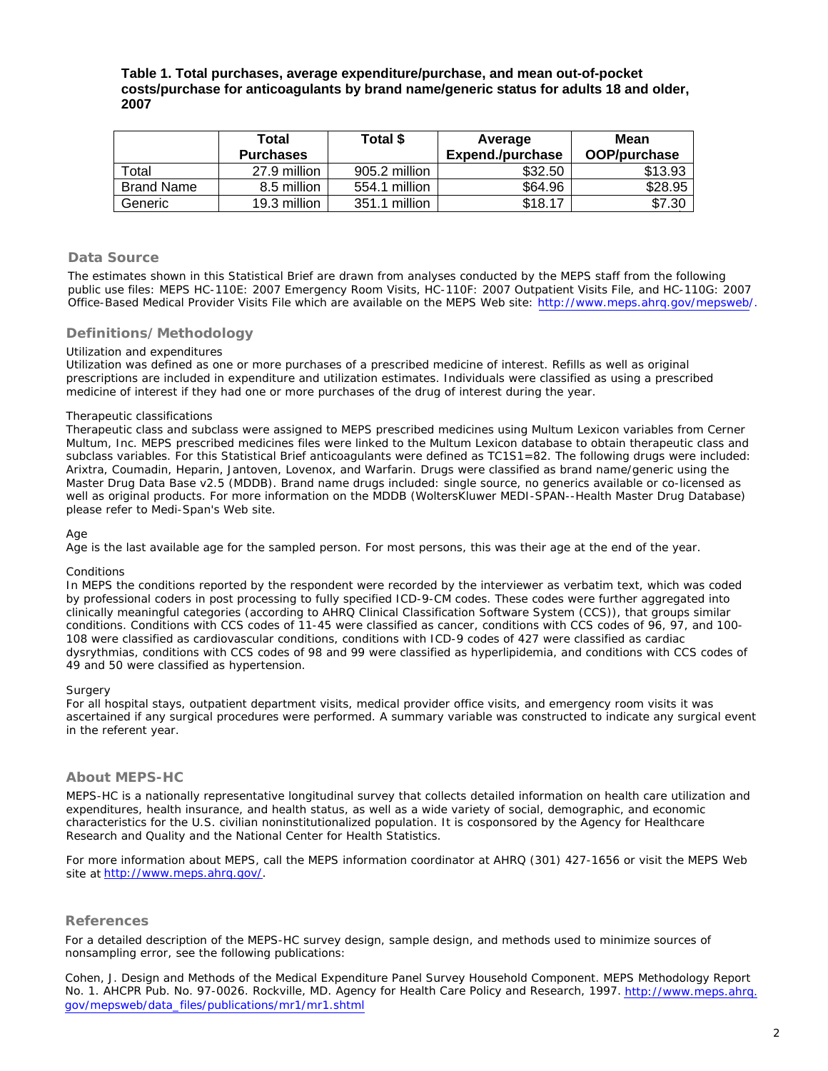**Table 1. Total purchases, average expenditure/purchase, and mean out-of-pocket costs/purchase for anticoagulants by brand name/generic status for adults 18 and older, 2007** 

|                   | Total            | Total \$      | Average          | Mean         |
|-------------------|------------------|---------------|------------------|--------------|
|                   | <b>Purchases</b> |               | Expend./purchase | OOP/purchase |
| $\tau$ otal       | 27.9 million     | 905.2 million | \$32.50          | \$13.93      |
| <b>Brand Name</b> | 8.5 million      | 554.1 million | \$64.96          | \$28.95      |
| Generic           | 19.3 million     | 351.1 million | \$18.17          | \$7.30       |

#### **Data Source**

The estimates shown in this Statistical Brief are drawn from analyses conducted by the MEPS staff from the following public use files: MEPS HC-110E: 2007 Emergency Room Visits, HC-110F: 2007 Outpatient Visits File, and HC-110G: 2007 Office-Based Medical Provider Visits File which are available on the MEPS Web site: [http://www.meps.ahrq.gov/mepsweb/.](http://www.meps.ahrq.gov/mepsweb/)

## **Definitions/Methodology**

#### *Utilization and expenditures*

Utilization was defined as one or more purchases of a prescribed medicine of interest. Refills as well as original prescriptions are included in expenditure and utilization estimates. Individuals were classified as using a prescribed medicine of interest if they had one or more purchases of the drug of interest during the year.

#### *Therapeutic classifications*

Therapeutic class and subclass were assigned to MEPS prescribed medicines using Multum Lexicon variables from Cerner Multum, Inc. MEPS prescribed medicines files were linked to the Multum Lexicon database to obtain therapeutic class and subclass variables. For this Statistical Brief anticoagulants were defined as TC1S1=82. The following drugs were included: Arixtra, Coumadin, Heparin, Jantoven, Lovenox, and Warfarin. Drugs were classified as brand name/generic using the Master Drug Data Base v2.5 (MDDB). Brand name drugs included: single source, no generics available or co-licensed as well as original products. For more information on the MDDB (WoltersKluwer MEDI-SPAN--Health Master Drug Database) please refer to Medi-Span's Web site.

#### *Age*

Age is the last available age for the sampled person. For most persons, this was their age at the end of the year.

#### *Conditions*

In MEPS the conditions reported by the respondent were recorded by the interviewer as verbatim text, which was coded by professional coders in post processing to fully specified ICD-9-CM codes. These codes were further aggregated into clinically meaningful categories (according to AHRQ Clinical Classification Software System (CCS)), that groups similar conditions. Conditions with CCS codes of 11-45 were classified as cancer, conditions with CCS codes of 96, 97, and 100- 108 were classified as cardiovascular conditions, conditions with ICD-9 codes of 427 were classified as cardiac dysrythmias, conditions with CCS codes of 98 and 99 were classified as hyperlipidemia, and conditions with CCS codes of 49 and 50 were classified as hypertension.

#### *Surgery*

For all hospital stays, outpatient department visits, medical provider office visits, and emergency room visits it was ascertained if any surgical procedures were performed. A summary variable was constructed to indicate any surgical event in the referent year.

#### **About MEPS-HC**

MEPS-HC is a nationally representative longitudinal survey that collects detailed information on health care utilization and expenditures, health insurance, and health status, as well as a wide variety of social, demographic, and economic characteristics for the U.S. civilian noninstitutionalized population. It is cosponsored by the Agency for Healthcare Research and Quality and the National Center for Health Statistics.

For more information about MEPS, call the MEPS information coordinator at AHRQ (301) 427-1656 or visit the MEPS Web site at [http://www.meps.ahrq.gov/.](http://www.meps.ahrq.gov/)

#### **References**

For a detailed description of the MEPS-HC survey design, sample design, and methods used to minimize sources of nonsampling error, see the following publications:

Cohen, J. *Design and Methods of the Medical Expenditure Panel Survey Household Component*. MEPS Methodology Report No. 1. AHCPR Pub. No. 97-0026. Rockville, MD. Agency for Health Care Policy and Research, 1997. [http://www.meps.ahrq.](http://www.meps.ahrq.gov/mepsweb/data_files/publications/mr1/mr1.shtml) [gov/mepsweb/data\\_files/publications/mr1/mr1.shtml](http://www.meps.ahrq.gov/mepsweb/data_files/publications/mr1/mr1.shtml)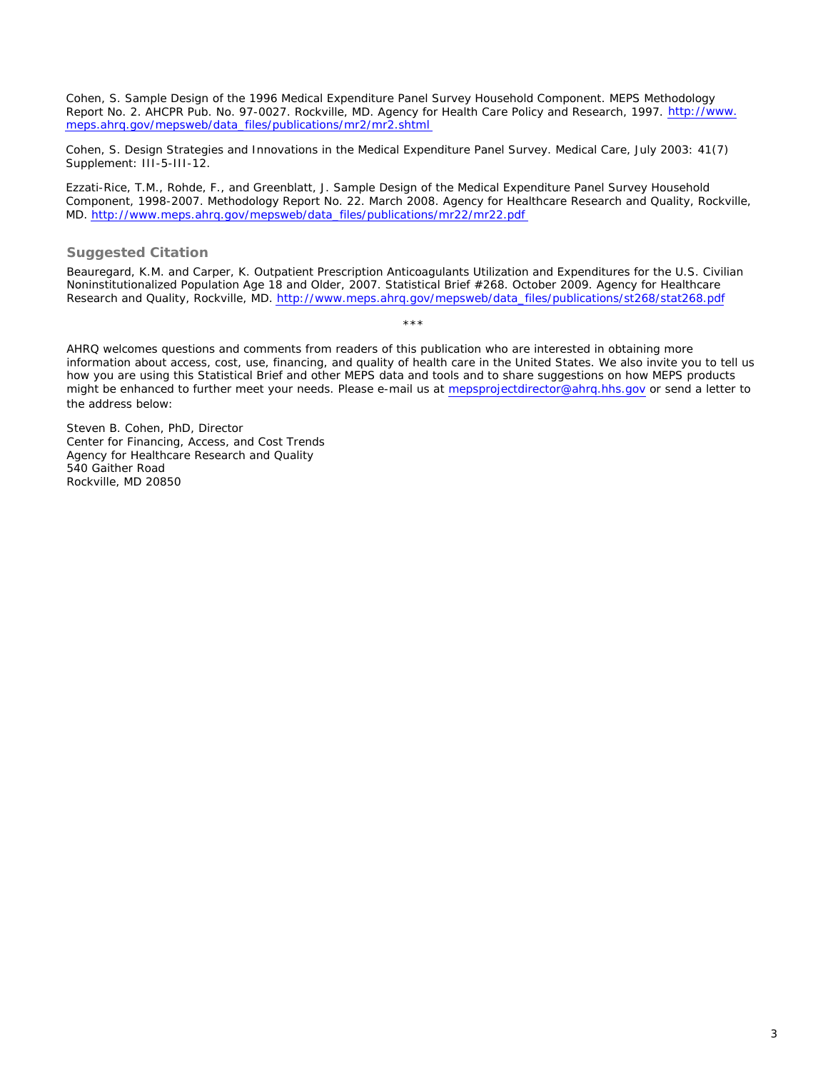Cohen, S. *Sample Design of the 1996 Medical Expenditure Panel Survey Household Component*. MEPS Methodology Report No. 2. AHCPR Pub. No. 97-0027. Rockville, MD. Agency for Health Care Policy and Research, 1997. [http://www.](http://www.meps.ahrq.gov/mepsweb/data_files/publications/mr2/mr2.shtml) [meps.ahrq.gov/mepsweb/data\\_files/publications/mr2/mr2.shtml](http://www.meps.ahrq.gov/mepsweb/data_files/publications/mr2/mr2.shtml) 

Cohen, S. Design Strategies and Innovations in the Medical Expenditure Panel Survey. *Medical Care*, July 2003: 41(7) Supplement: III-5-III-12.

Ezzati-Rice, T.M., Rohde, F., and Greenblatt, J. *Sample Design of the Medical Expenditure Panel Survey Household Component, 1998-2007*. Methodology Report No. 22. March 2008. Agency for Healthcare Research and Quality, Rockville, MD. [http://www.meps.ahrq.gov/mepsweb/data\\_files/publications/mr22/mr22.pdf](http://www.meps.ahrq.gov/mepsweb/data_files/publications/mr22/mr22.pdf) 

#### **Suggested Citation**

Beauregard, K.M. and Carper, K. *Outpatient Prescription Anticoagulants Utilization and Expenditures for the U.S. Civilian Noninstitutionalized Population Age 18 and Older, 2007*. Statistical Brief #268. October 2009. Agency for Healthcare Research and Quality, Rockville, MD. [http://www.meps.ahrq.gov/mepsweb/data\\_files/publications/st268/stat268.pdf](http://www.meps.ahrq.gov/mepsweb/data_files/publications/st268/stat268.pdf) 

\*\*\*

AHRQ welcomes questions and comments from readers of this publication who are interested in obtaining more information about access, cost, use, financing, and quality of health care in the United States. We also invite you to tell us how you are using this Statistical Brief and other MEPS data and tools and to share suggestions on how MEPS products might be enhanced to further meet your needs. Please e-mail us at [mepsprojectdirector@ahrq.hhs.gov](mailto:mepsprojectdirector@ahrq.hhs.gov) or send a letter to the address below:

Steven B. Cohen, PhD, Director Center for Financing, Access, and Cost Trends Agency for Healthcare Research and Quality 540 Gaither Road Rockville, MD 20850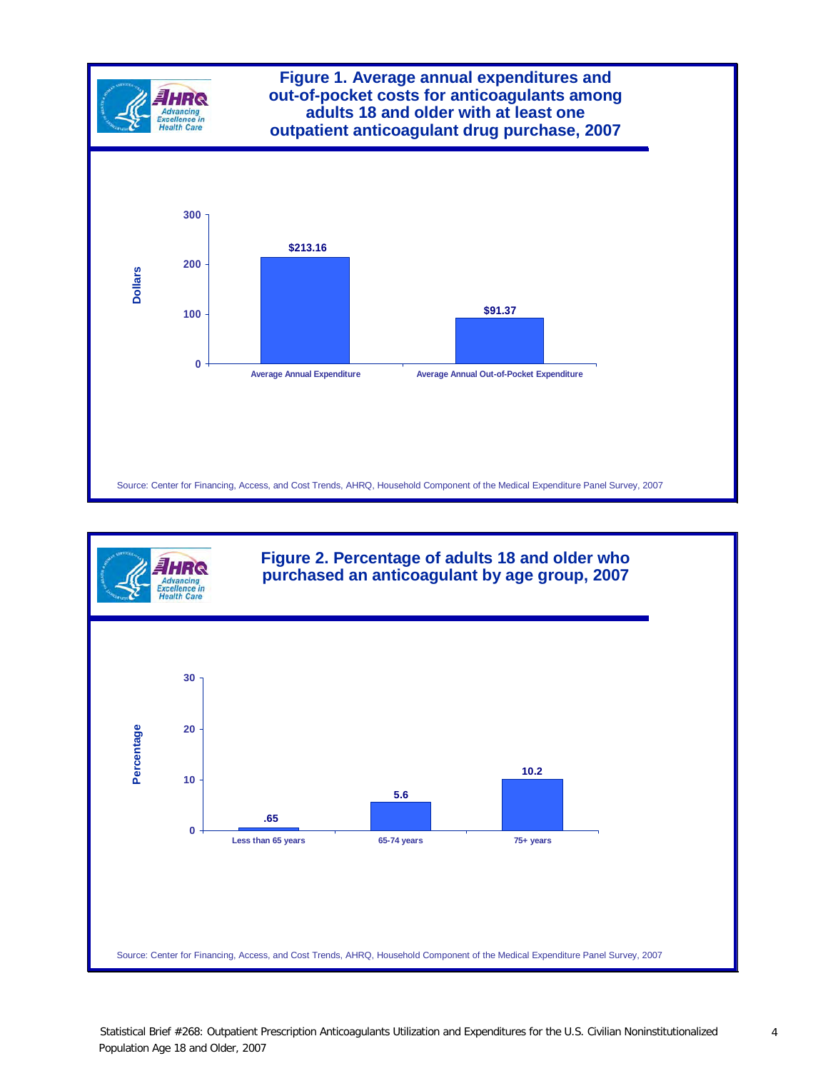



 Statistical Brief #268: Outpatient Prescription Anticoagulants Utilization and Expenditures for the U.S. Civilian Noninstitutionalized Population Age 18 and Older, 2007